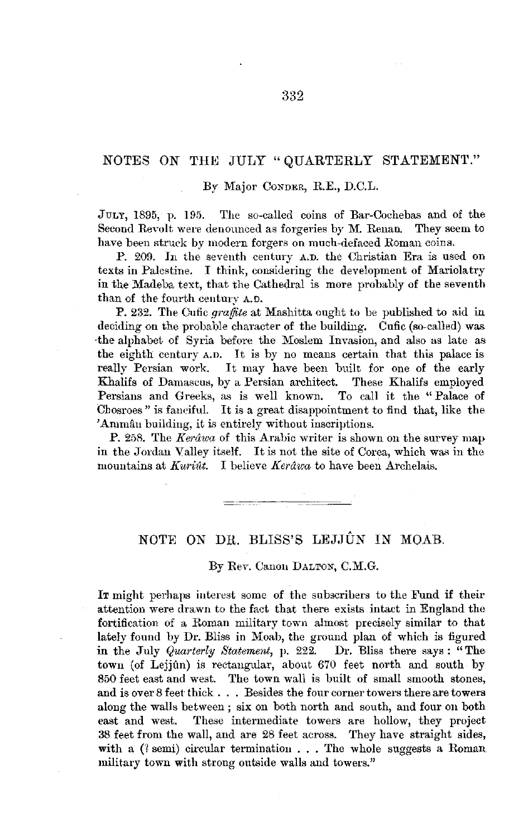## NOTES ON THE JULY "QUARTERLY STATEMENT."

## By Major CONDER, **R.E.,** D.C.L.

JULY, 1895, p. 195. The so-called coins of Bar-Cochebas and of the Second Revolt were denounced as forgeries by M. Renan. They seem to have been struck by modern forgers on much-defaced Roman coins.

**P.** 209. In the seventh century A.D. the Christian Era is used on texts in Palestine. I think, considering the development of Mariolatry in the Madeba text, that the Cathedral is more probably of the seventh than of the fourth century A.O.

P. 232. The Cufic *graffete* at Mashitta ought to be published to aid in deciding on the probable character of the building. Cufic (so-called) was -the alphabet of Syria before the Moslem Invasion, and also as late as the eighth century A.n. It is by no means certain that this palace is really Persian work. It may have been built for one of the early Khalifs of Damascus, by a Persian architect. These Khalifs employed Persians and Greeks, as is well known. To call it the "Palace of Persians and Greeks, as is well known. Chosroes" is fanciful. It is a great disappointment to find that, like the 'Amman building, it is entirely without inscriptions.

P. 258. The *Kerawa* of this Arabic writer is shown on the survey map in the Jordan Valley itself. It is not the site of Corea, which was in the mountains at *Kuriût*. I believe *Kerâwa* to have been Archelais.

## NOTE ON DR. BLISS'S LEJJÛN IN MOAB.

By Rev. Canon DALTON, C.M.G.

IT might perhaps interest some of the subscribers to the Fund if their attention were drawn to the fact that there exists intact in England the fortification of a Roman military town almost precisely similar to that lately found by Dr. Bliss in Moab, the ground plan of which is figured in the July *Quarterly Statement,* p. 222. Dr. Bliss there says : "Thetown (of Lejjûn) is rectangular, about 670 feet north and south by 850 feet east and west. The town wall is built of small smooth stones, and is over 8 feet thick . . . Besides the four corner towers there are towers along the walls between ; six on both north and south, and four on both east and west. These intermediate towers are hollow, they project 38 feet from the wall, and are 28 feet across. They have straight sides, with a  $($ ? semi) circular termination . . . The whole suggests a Roman military town with strong outside walls and towers."